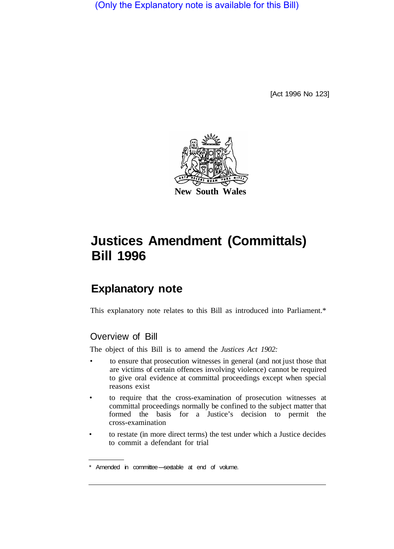(Only the Explanatory note is available for this Bill)

[Act 1996 No 123]



# **Justices Amendment (Committals) Bill 1996**

# **Explanatory note**

This explanatory note relates to this Bill as introduced into Parliament.\*

## Overview of Bill

The object of this Bill is to amend the *Justices Act 1902:* 

- to ensure that prosecution witnesses in general (and not just those that are victims of certain offences involving violence) cannot be required to give oral evidence at committal proceedings except when special reasons exist
- to require that the cross-examination of prosecution witnesses at committal proceedings normally be confined to the subject matter that formed the basis for a Justice's decision to permit the cross-examination
- to restate (in more direct terms) the test under which a Justice decides to commit a defendant for trial

<sup>\*</sup> Amended in committee-seetable at end of volume.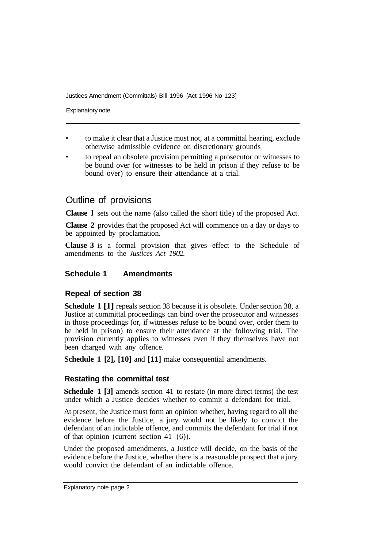Justices Amendment (Committals) Bill 1996 [Act 1996 No 123]

Explanatory note

- to make it clear that a Justice must not, at a committal hearing, exclude otherwise admissible evidence on discretionary grounds
- to repeal an obsolete provision permitting a prosecutor or witnesses to be bound over (or witnesses to be held in prison if they refuse to be bound over) to ensure their attendance at a trial.

### Outline of provisions

**Clause l** sets out the name (also called the short title) of the proposed Act.

**Clause 2** provides that the proposed Act will commence on a day or days to be appointed by proclamation.

**Clause 3** is a formal provision that gives effect to the Schedule of amendments to the *Justices Act 1902.* 

#### **Schedule 1 Amendments**

#### **Repeal of section 38**

**Schedule l [l]** repeals section 38 because it is obsolete. Under section 38, a Justice at committal proceedings can bind over the prosecutor and witnesses in those proceedings (or, if witnesses refuse to be bound over, order them to be held in prison) to ensure their attendance at the following trial. The provision currently applies to witnesses even if they themselves have not been charged with any offence.

**Schedule 1 [2], [10]** and **[11]** make consequential amendments.

#### **Restating the committal test**

**Schedule 1 [3]** amends section 41 to restate (in more direct terms) the test under which a Justice decides whether to commit a defendant for trial.

At present, the Justice must form an opinion whether, having regard to all the evidence before the Justice, a jury would not be likely to convict the defendant of an indictable offence, and commits the defendant for trial if not of that opinion (current section 41 (6)).

Under the proposed amendments, a Justice will decide, on the basis of the evidence before the Justice, whether there is a reasonable prospect that a jury would convict the defendant of an indictable offence.

Explanatory note page 2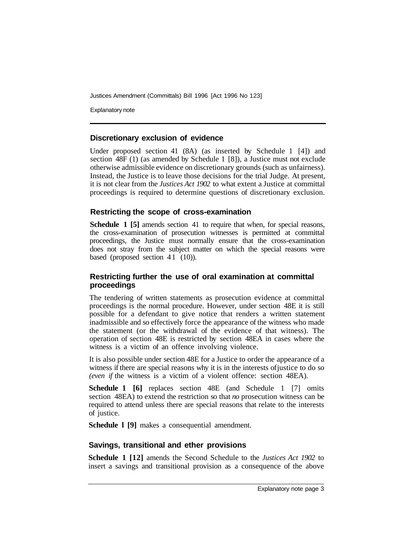Justices Amendment (Committals) Bill 1996 [Act 1996 No 123]

Explanatory note

#### **Discretionary exclusion of evidence**

Under proposed section 41 (8A) (as inserted by Schedule 1 [4]) and section 48F (1) (as amended by Schedule 1 [8]), a Justice must not exclude otherwise admissible evidence on discretionary grounds (such as unfairness). Instead, the Justice is to leave those decisions for the trial Judge. At present, it is not clear from the *Justices Act 1902* to what extent a Justice at committal proceedings is required to determine questions of discretionary exclusion.

#### **Restricting the scope of cross-examination**

**Schedule 1 [5]** amends section 41 to require that when, for special reasons, the cross-examination of prosecution witnesses is permitted at committal proceedings, the Justice must normally ensure that the cross-examination does not stray from the subject matter on which the special reasons were based (proposed section  $41$  (10)).

#### **Restricting further the use of oral examination at committal proceedings**

The tendering of written statements as prosecution evidence at committal proceedings is the normal procedure. However, under section 48E it is still possible for a defendant to give notice that renders a written statement inadmissible and so effectively force the appearance of the witness who made the statement (or the withdrawal of the evidence of that witness). The operation of section 48E is restricted by section 48EA in cases where the witness is a victim of an offence involving violence.

It is also possible under section 48E for a Justice to order the appearance of a witness if there are special reasons why it is in the interests of justice to do so *(even if* the witness is a victim of a violent offence: section 48EA).

**Schedule 1 [6]** replaces section 48E (and Schedule 1 [7] omits section 48EA) to extend the restriction so that *no* prosecution witness can be required to attend unless there are special reasons that relate to the interests of justice.

**Schedule l [9]** makes a consequential amendment.

#### **Savings, transitional and ether provisions**

**Schedule 1 [12]** amends the Second Schedule to the *Justices Act 1902* to insert a savings and transitional provision as a consequence of the above